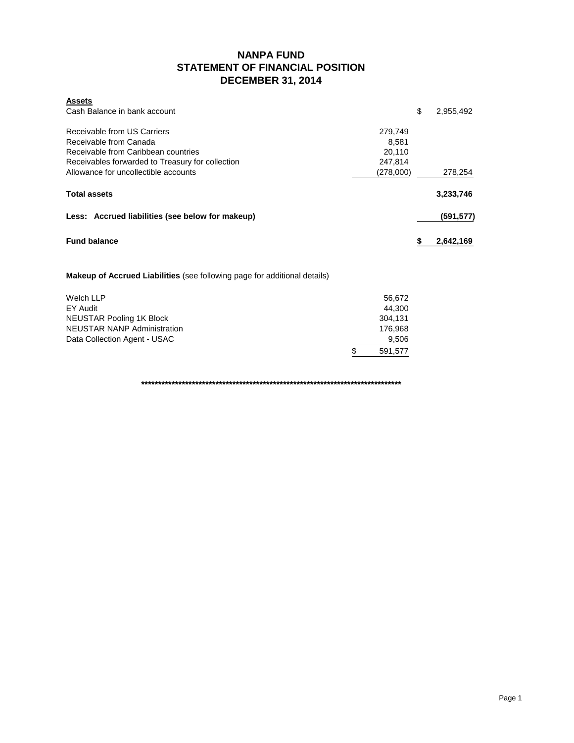## **NANPA FUND STATEMENT OF FINANCIAL POSITION DECEMBER 31, 2014**

| <b>Assets</b>                                    |           |            |
|--------------------------------------------------|-----------|------------|
| Cash Balance in bank account                     | \$        | 2,955,492  |
| Receivable from US Carriers                      | 279.749   |            |
| Receivable from Canada                           | 8.581     |            |
| Receivable from Caribbean countries              | 20,110    |            |
| Receivables forwarded to Treasury for collection | 247.814   |            |
| Allowance for uncollectible accounts             | (278,000) | 278,254    |
| <b>Total assets</b>                              |           | 3,233,746  |
| Less: Accrued liabilities (see below for makeup) |           | (591, 577) |
| <b>Fund balance</b>                              |           | 2,642,169  |

**Makeup of Accrued Liabilities** (see following page for additional details)

| Welch LLP                    | 56.672       |
|------------------------------|--------------|
| EY Audit                     | 44.300       |
| NEUSTAR Pooling 1K Block     | 304.131      |
| NEUSTAR NANP Administration  | 176.968      |
| Data Collection Agent - USAC | 9,506        |
|                              | S<br>591.577 |

**\*\*\*\*\*\*\*\*\*\*\*\*\*\*\*\*\*\*\*\*\*\*\*\*\*\*\*\*\*\*\*\*\*\*\*\*\*\*\*\*\*\*\*\*\*\*\*\*\*\*\*\*\*\*\*\*\*\*\*\*\*\*\*\*\*\*\*\*\*\*\*\*\*\*\*\*\***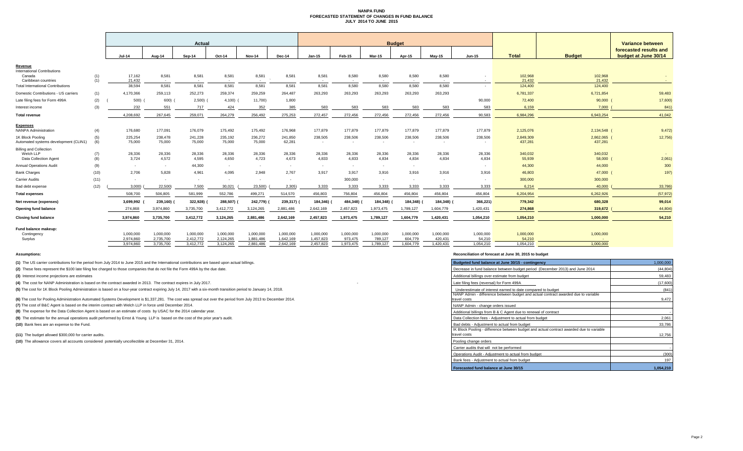#### **NANPA FUND FORECASTED STATEMENT OF CHANGES IN FUND BALANCE JULY 2014 TO JUNE 2015**

|                                                                 |      |                          |                        | Actual                   |                        |                        |                        |                        |                      |                      | <b>Budget</b>        |                          |                     |                     |                   | Variance between                               |
|-----------------------------------------------------------------|------|--------------------------|------------------------|--------------------------|------------------------|------------------------|------------------------|------------------------|----------------------|----------------------|----------------------|--------------------------|---------------------|---------------------|-------------------|------------------------------------------------|
|                                                                 |      | <b>Jul-14</b>            | Aug-14                 | Sep-14                   | Oct-14                 | Nov-14                 | Dec-14                 | <b>Jan-15</b>          | Feb-15               | <b>Mar-15</b>        | Apr-15               | <b>Mav-15</b>            | <b>Jun-15</b>       | <b>Total</b>        | <b>Budget</b>     | forecasted results and<br>budget at June 30/14 |
| Revenue                                                         |      |                          |                        |                          |                        |                        |                        |                        |                      |                      |                      |                          |                     |                     |                   |                                                |
| <b>International Contributions</b><br>Canada                    | (1)  | 17,162                   | 8,581                  | 8,581                    | 8,581                  | 8,581                  | 8,581                  | 8,581                  | 8,580                | 8,580                | 8,580                | 8,580                    |                     | 102,968             | 102,968           |                                                |
| Caribbean countries<br><b>Total International Contributions</b> | (1)  | 21.432<br>38,594         | $\sim$<br>8,581        | $\sim$<br>8,581          | $\sim$<br>8,581        | $\sim$<br>8,581        | 8,581                  | $\sim$<br>8,581        | $\sim$<br>8,580      | 8,580                | $\sim$<br>8,580      | $\sim$<br>8,580          | $\sim$<br>$\sim$    | 21,432<br>124,400   | 21.432<br>124,400 | $\sim$                                         |
| Domestic Contributions - US carriers                            | (1)  | 4,170,366                | 259,113                | 252,273                  | 259,374                | 259,259                | 264,487                | 263,293                | 263,293              | 263,293              | 263,293              | 263,293                  |                     | 6,781,337           | 6,721,854         | 59,483                                         |
| Late filing fees for Form 499A                                  | (2)  | 500)                     | 600)                   | 2,500                    | 4,100                  | 11,700)                | 1,800                  |                        |                      |                      |                      |                          | 90,000              | 72,400              | 90,000            | 17,600)                                        |
| Interest income                                                 | (3)  | 232                      | 551                    | 717                      | 424                    | 352                    | 385                    | 583                    | 583                  | 583                  | 583                  | 583                      | 583                 | 6,159               | 7,000             | 841                                            |
| Total revenue                                                   |      | 4,208,692                | 267,645                | 259,071                  | 264,279                | 256,492                | 275,253                | 272,457                | 272,456              | 272,456              | 272,456              | 272,456                  | 90,583              | 6,984,296           | 6,943,254         | 41,042                                         |
|                                                                 |      |                          |                        |                          |                        |                        |                        |                        |                      |                      |                      |                          |                     |                     |                   |                                                |
| <b>Expenses</b><br><b>NANPA Administration</b>                  | (4)  | 176,680                  | 177,091                | 176,079                  | 175,492                | 175,492                | 176,968                | 177,879                | 177,879              | 177,879              | 177,879              | 177,879                  | 177,879             | 2,125,076           | 2,134,548 (       | 9,472)                                         |
| 1K Block Pooling                                                | (5)  | 225,254                  | 238,478                | 241,228                  | 235,192                | 236,272                | 241,850                | 238,505                | 238,506              | 238,506              | 238,506              | 238,506                  | 238,506             | 2,849,309           | 2,862,065 (       | 12,756)                                        |
| Automated systems development (CLIN1)                           | (6)  | 75,000                   | 75,000                 | 75,000                   | 75,000                 | 75,000                 | 62,281                 | $\sim$                 | $\sim$               |                      | $\sim$               | $\overline{\phantom{a}}$ |                     | 437,281             | 437,281           |                                                |
| <b>Billing and Collection</b><br>Welch LLP                      | (7)  | 28,336                   | 28,336                 | 28,336                   | 28,336                 | 28,336                 | 28,336                 | 28,336                 | 28,336               | 28,336               | 28,336               | 28,336                   | 28,336              | 340,032             | 340,032           |                                                |
| Data Collection Agent                                           | (8)  | 3,724                    | 4,572                  | 4,595                    | 4,650                  | 4,723                  | 4,673                  | 4,833                  | 4,833                | 4,834                | 4,834                | 4,834                    | 4,834               | 55,939              | 58,000            | 2,061                                          |
| <b>Annual Operations Audit</b>                                  | (9)  | $\sim$                   | $\sim$                 | 44,300                   | $\sim$                 | $\sim$                 | $\sim$                 |                        | $\sim$               | $\sim$               | $\sim$               |                          | $\sim$              | 44,300              | 44,000            | 300                                            |
| <b>Bank Charges</b>                                             | (10) | 2,706                    | 5,828                  | 4,961                    | 4,095                  | 2,948                  | 2,767                  | 3,917                  | 3,917                | 3,916                | 3,916                | 3,916                    | 3,916               | 46,803              | 47,000 (          | 197)                                           |
| <b>Carrier Audits</b>                                           | (11) | $\overline{\phantom{a}}$ | $\sim$                 | $\overline{\phantom{a}}$ | $\sim$                 | $\sim$                 | $\sim$                 |                        | 300,000              | ۰.                   | $\sim$               | $\sim$                   | $\sim$              | 300,000             | 300,000           |                                                |
| Bad debt expense                                                | (12) | 3,000)                   | 22,500)                | 7,500                    | 30,021                 | 23,500)                | 2,305                  | 3,333                  | 3,333                | 3,333                | 3,333                | 3,333                    | 3,333               | 6,214               | 40,000            | 33,786                                         |
| <b>Total expenses</b>                                           |      | 508,700                  | 506,805                | 581,999                  | 552,786                | 499,271                | 514,570                | 456,803                | 756,804              | 456,804              | 456,804              | 456,804                  | 456,804             | 6,204,954           | 6,262,926         | (57, 972)                                      |
| Net revenue (expenses)                                          |      | 3,699,992                | 239,160)               | 322,928)                 | 288,507)               | 242,779)               | 239,317)               | 184,346)               | 484,348)             | 184,348)             | 184,348)             | 184,348) (               | 366,221)            | 779,342             | 680,328           | 99,014                                         |
| Opening fund balance                                            |      | 274,868                  | 3,974,860              | 3,735,700                | 3,412,772              | 3,124,265              | 2,881,486              | 2,642,169              | 2,457,823            | 1,973,475            | 1,789,127            | 1,604,779                | 1,420,431           | 274,868             | 319,672           | 44,804                                         |
| <b>Closing fund balance</b>                                     |      | 3,974,860                | 3,735,700              | 3,412,772                | 3,124,265              | 2,881,486              | 2,642,169              | 2,457,823              | 1,973,475            | 1,789,127            | 1,604,779            | 1,420,431                | 1,054,210           | 1,054,210           | 1,000,000         | 54,210                                         |
| Fund balance makeup:                                            |      |                          |                        |                          |                        |                        |                        |                        |                      |                      |                      |                          |                     |                     |                   |                                                |
| Contingency                                                     |      | 1,000,000                | 1,000,000              | 1,000,000                | 1,000,000              | 1,000,000              | 1,000,000              | 1,000,000              | 1,000,000            | 1,000,000            | 1,000,000            | 1,000,000                | 1,000,000           | 1,000,000           | 1,000,000         |                                                |
| Surplus                                                         |      | 2,974,860<br>3.974.860   | 2,735,700<br>3.735.700 | 2,412,772<br>3,412,772   | 2,124,265<br>3.124.265 | 1,881,486<br>2.881.486 | 1,642,169<br>2.642.169 | 1,457,823<br>2.457.823 | 973,475<br>1.973.475 | 789,127<br>1.789.127 | 604,779<br>1.604.779 | 420,431<br>1.420.431     | 54,210<br>1.054.210 | 54,210<br>1.054.210 | 1.000.000         |                                                |
|                                                                 |      |                          |                        |                          |                        |                        |                        |                        |                      |                      |                      |                          |                     |                     |                   |                                                |

**(1)** The US carrier contributions for the period from July 2014 to June 2015 and the International contributions are based upon actual billings.

(2) These fees represent the \$100 late filing fee charged to those companies that do not file the Form 499A by the due date.

**(3)** Interest income projections are estimates

**(4)** The cost for NANP Administration is based on the contract awarded in 2013. The contract expires in July 2017.

(5) The cost for 1K Block Pooling Administration is based on a four-year contract expiring July 14, 2017 with a six-month transition period to January 14, 2018.

**(6)** The cost for Pooling Administration Automated Systems Development is \$1,337,281. The cost was spread out over the period from July 2013 to December 2014.

**(7)** The cost of B&C Agent is based on the interim contract with Welch LLP in force until December 2014.

**(8)** The expense for the Data Collection Agent is based on an estimate of costs by USAC for the 2014 calendar year.

(9) The estimate for the annual operations audit performed by Ernst & Young LLP is based on the cost of the prior year's audit.

**(10)** Bank fees are an expense to the Fund.

**(11)** The budget allowed \$300,000 for carrier audits.

(10) The allowance covers all accounts considered potentially uncollectible at December 31, 2014.

#### **Assumptions: Reconciliation of forecast at June 30, 2015 to budget**

| Budgeted fund balance at June 30/15 - contingency                                                        | 1,000,000 |
|----------------------------------------------------------------------------------------------------------|-----------|
| Decrease in fund balance between budget period (December 2013) and June 2014                             | (44, 804) |
| Additional billings over estimate from budget                                                            | 59,483    |
| Late filing fees (reversal) for Form 499A                                                                | (17,600)  |
| Underestimate of interest earned to date compared to budget                                              | (841)     |
| NANP Admin - difference between budget and actual contract awarded due to variable<br>travel costs       | 9,472     |
| NANP Admin - change orders issued                                                                        |           |
| Additional billings from B & C Agent due to renewal of contract                                          |           |
| Data Collection fees - Adjustment to actual from budget                                                  | 2,061     |
| Bad debts - Adjustment to actual from budget                                                             | 33,786    |
| IK Block Pooling - difference between budget and actual contract awarded due to variable<br>travel costs | 12,756    |
| Pooling change orders                                                                                    |           |
| Carrier audits that will not be performed                                                                |           |
| Operations Audit - Adjustment to actual from budget                                                      | (300)     |
| Bank fees - Adjustment to actual from budget                                                             | 197       |
| Forecasted fund balance at June 30/15                                                                    | 1.054.210 |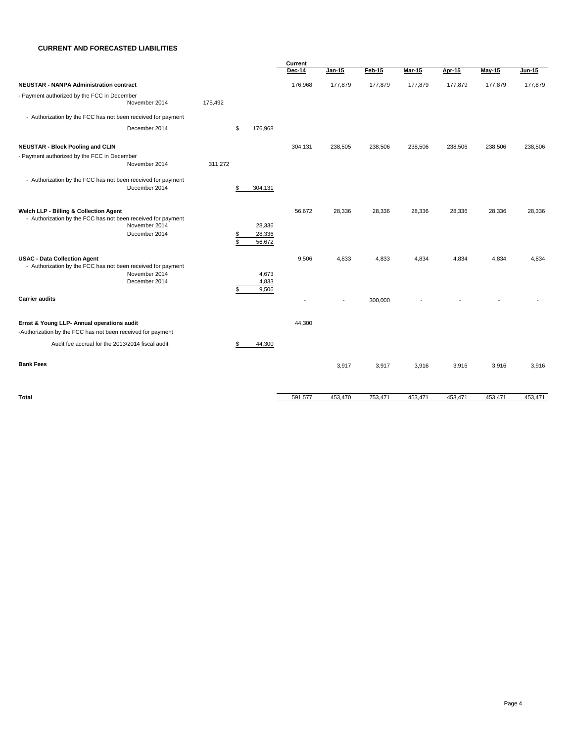#### **CURRENT AND FORECASTED LIABILITIES**

|                                                                                                                                          |         |                                        | Current       |                          |         |               |               |          |         |  |  |
|------------------------------------------------------------------------------------------------------------------------------------------|---------|----------------------------------------|---------------|--------------------------|---------|---------------|---------------|----------|---------|--|--|
|                                                                                                                                          |         |                                        | <b>Dec-14</b> | $Jan-15$                 | Feb-15  | <b>Mar-15</b> | <b>Apr-15</b> | $May-15$ | Jun-15  |  |  |
| <b>NEUSTAR - NANPA Administration contract</b>                                                                                           |         |                                        | 176,968       | 177,879                  | 177,879 | 177,879       | 177,879       | 177,879  | 177,879 |  |  |
| - Payment authorized by the FCC in December<br>November 2014                                                                             | 175,492 |                                        |               |                          |         |               |               |          |         |  |  |
| - Authorization by the FCC has not been received for payment                                                                             |         |                                        |               |                          |         |               |               |          |         |  |  |
| December 2014                                                                                                                            |         | 176,968<br>\$                          |               |                          |         |               |               |          |         |  |  |
| <b>NEUSTAR - Block Pooling and CLIN</b>                                                                                                  |         |                                        | 304,131       | 238,505                  | 238,506 | 238,506       | 238,506       | 238,506  | 238,506 |  |  |
| - Payment authorized by the FCC in December<br>November 2014                                                                             | 311,272 |                                        |               |                          |         |               |               |          |         |  |  |
| - Authorization by the FCC has not been received for payment<br>December 2014                                                            |         | 304,131<br>\$                          |               |                          |         |               |               |          |         |  |  |
| Welch LLP - Billing & Collection Agent<br>- Authorization by the FCC has not been received for payment<br>November 2014<br>December 2014 |         | 28,336<br>28,336<br>\$<br>\$<br>56,672 | 56,672        | 28,336                   | 28,336  | 28,336        | 28,336        | 28,336   | 28,336  |  |  |
| <b>USAC - Data Collection Agent</b><br>- Authorization by the FCC has not been received for payment<br>November 2014<br>December 2014    |         | 4,673<br>4,833<br>9,506<br>\$          | 9,506         | 4,833                    | 4,833   | 4,834         | 4,834         | 4,834    | 4,834   |  |  |
| <b>Carrier audits</b>                                                                                                                    |         |                                        |               | $\overline{\phantom{a}}$ | 300,000 |               |               |          |         |  |  |
| Ernst & Young LLP- Annual operations audit<br>-Authorization by the FCC has not been received for payment                                |         |                                        | 44,300        |                          |         |               |               |          |         |  |  |
| Audit fee accrual for the 2013/2014 fiscal audit                                                                                         |         | 44,300<br>£.                           |               |                          |         |               |               |          |         |  |  |
| <b>Bank Fees</b>                                                                                                                         |         |                                        |               | 3,917                    | 3,917   | 3,916         | 3,916         | 3,916    | 3,916   |  |  |
| Total                                                                                                                                    |         |                                        | 591,577       | 453,470                  | 753,471 | 453,471       | 453,471       | 453,471  | 453,471 |  |  |